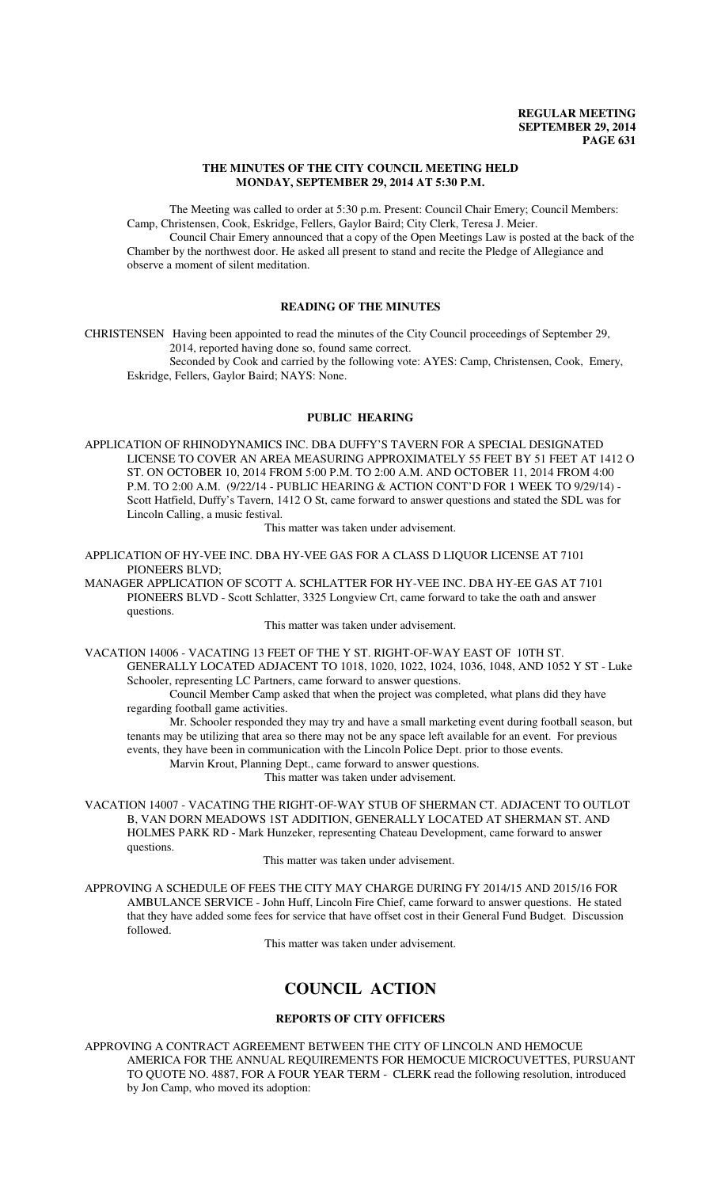### **THE MINUTES OF THE CITY COUNCIL MEETING HELD MONDAY, SEPTEMBER 29, 2014 AT 5:30 P.M.**

The Meeting was called to order at 5:30 p.m. Present: Council Chair Emery; Council Members: Camp, Christensen, Cook, Eskridge, Fellers, Gaylor Baird; City Clerk, Teresa J. Meier.

Council Chair Emery announced that a copy of the Open Meetings Law is posted at the back of the Chamber by the northwest door. He asked all present to stand and recite the Pledge of Allegiance and observe a moment of silent meditation.

# **READING OF THE MINUTES**

CHRISTENSEN Having been appointed to read the minutes of the City Council proceedings of September 29, 2014, reported having done so, found same correct.

Seconded by Cook and carried by the following vote: AYES: Camp, Christensen, Cook, Emery, Eskridge, Fellers, Gaylor Baird; NAYS: None.

# **PUBLIC HEARING**

APPLICATION OF RHINODYNAMICS INC. DBA DUFFY'S TAVERN FOR A SPECIAL DESIGNATED LICENSE TO COVER AN AREA MEASURING APPROXIMATELY 55 FEET BY 51 FEET AT 1412 O ST. ON OCTOBER 10, 2014 FROM 5:00 P.M. TO 2:00 A.M. AND OCTOBER 11, 2014 FROM 4:00 P.M. TO 2:00 A.M. (9/22/14 - PUBLIC HEARING & ACTION CONT'D FOR 1 WEEK TO 9/29/14) - Scott Hatfield, Duffy's Tavern, 1412 O St, came forward to answer questions and stated the SDL was for Lincoln Calling, a music festival.

This matter was taken under advisement.

APPLICATION OF HY-VEE INC. DBA HY-VEE GAS FOR A CLASS D LIQUOR LICENSE AT 7101 PIONEERS BLVD;

MANAGER APPLICATION OF SCOTT A. SCHLATTER FOR HY-VEE INC. DBA HY-EE GAS AT 7101 PIONEERS BLVD - Scott Schlatter, 3325 Longview Crt, came forward to take the oath and answer questions.

This matter was taken under advisement.

VACATION 14006 - VACATING 13 FEET OF THE Y ST. RIGHT-OF-WAY EAST OF 10TH ST. GENERALLY LOCATED ADJACENT TO 1018, 1020, 1022, 1024, 1036, 1048, AND 1052 Y ST - Luke Schooler, representing LC Partners, came forward to answer questions.

Council Member Camp asked that when the project was completed, what plans did they have regarding football game activities.

Mr. Schooler responded they may try and have a small marketing event during football season, but tenants may be utilizing that area so there may not be any space left available for an event. For previous events, they have been in communication with the Lincoln Police Dept. prior to those events.

Marvin Krout, Planning Dept., came forward to answer questions.

This matter was taken under advisement.

VACATION 14007 - VACATING THE RIGHT-OF-WAY STUB OF SHERMAN CT. ADJACENT TO OUTLOT B, VAN DORN MEADOWS 1ST ADDITION, GENERALLY LOCATED AT SHERMAN ST. AND HOLMES PARK RD - Mark Hunzeker, representing Chateau Development, came forward to answer questions.

### This matter was taken under advisement.

APPROVING A SCHEDULE OF FEES THE CITY MAY CHARGE DURING FY 2014/15 AND 2015/16 FOR AMBULANCE SERVICE - John Huff, Lincoln Fire Chief, came forward to answer questions. He stated that they have added some fees for service that have offset cost in their General Fund Budget. Discussion followed.

This matter was taken under advisement.

# **COUNCIL ACTION**

# **REPORTS OF CITY OFFICERS**

APPROVING A CONTRACT AGREEMENT BETWEEN THE CITY OF LINCOLN AND HEMOCUE AMERICA FOR THE ANNUAL REQUIREMENTS FOR HEMOCUE MICROCUVETTES, PURSUANT TO QUOTE NO. 4887, FOR A FOUR YEAR TERM - CLERK read the following resolution, introduced by Jon Camp, who moved its adoption: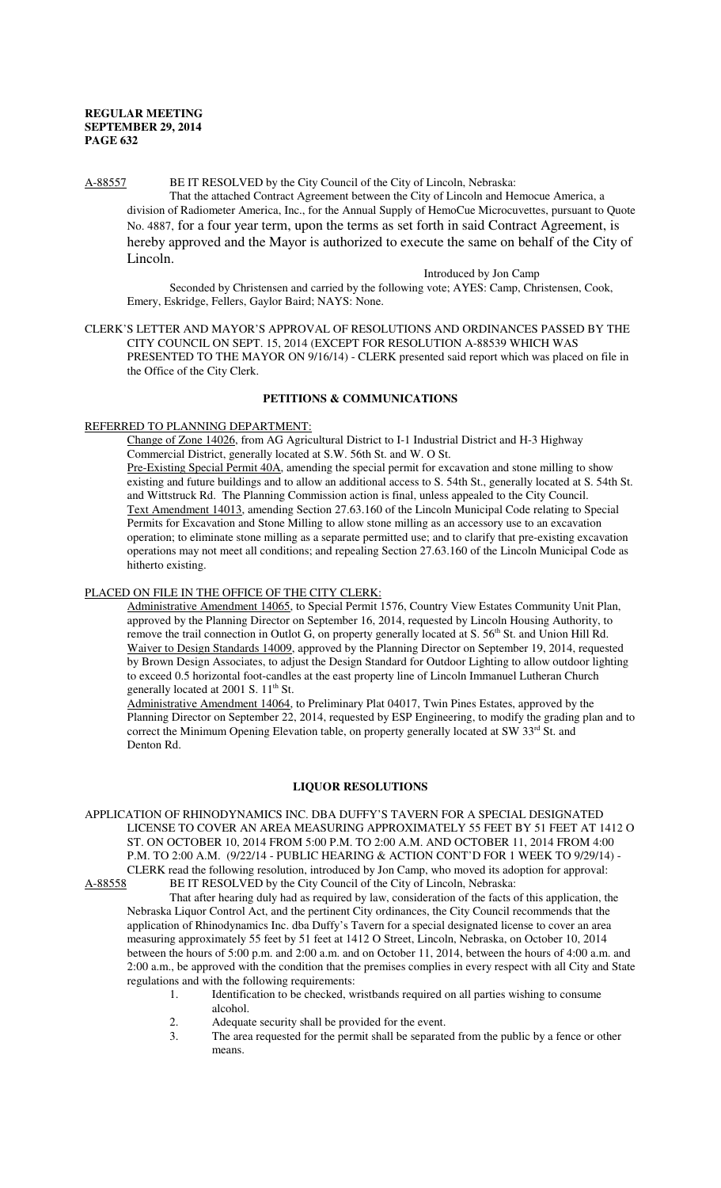#### A-88557 BE IT RESOLVED by the City Council of the City of Lincoln, Nebraska:

That the attached Contract Agreement between the City of Lincoln and Hemocue America, a division of Radiometer America, Inc., for the Annual Supply of HemoCue Microcuvettes, pursuant to Quote No. 4887, for a four year term, upon the terms as set forth in said Contract Agreement, is hereby approved and the Mayor is authorized to execute the same on behalf of the City of Lincoln.

Introduced by Jon Camp

Seconded by Christensen and carried by the following vote; AYES: Camp, Christensen, Cook, Emery, Eskridge, Fellers, Gaylor Baird; NAYS: None.

CLERK'S LETTER AND MAYOR'S APPROVAL OF RESOLUTIONS AND ORDINANCES PASSED BY THE CITY COUNCIL ON SEPT. 15, 2014 (EXCEPT FOR RESOLUTION A-88539 WHICH WAS PRESENTED TO THE MAYOR ON 9/16/14) - CLERK presented said report which was placed on file in the Office of the City Clerk.

# **PETITIONS & COMMUNICATIONS**

# REFERRED TO PLANNING DEPARTMENT:

Change of Zone 14026, from AG Agricultural District to I-1 Industrial District and H-3 Highway Commercial District, generally located at S.W. 56th St. and W. O St.

Pre-Existing Special Permit 40A, amending the special permit for excavation and stone milling to show existing and future buildings and to allow an additional access to S. 54th St., generally located at S. 54th St. and Wittstruck Rd. The Planning Commission action is final, unless appealed to the City Council. Text Amendment 14013, amending Section 27.63.160 of the Lincoln Municipal Code relating to Special Permits for Excavation and Stone Milling to allow stone milling as an accessory use to an excavation operation; to eliminate stone milling as a separate permitted use; and to clarify that pre-existing excavation operations may not meet all conditions; and repealing Section 27.63.160 of the Lincoln Municipal Code as hitherto existing.

#### PLACED ON FILE IN THE OFFICE OF THE CITY CLERK:

Administrative Amendment 14065, to Special Permit 1576, Country View Estates Community Unit Plan, approved by the Planning Director on September 16, 2014, requested by Lincoln Housing Authority, to remove the trail connection in Outlot G, on property generally located at S. 56<sup>th</sup> St. and Union Hill Rd. Waiver to Design Standards 14009, approved by the Planning Director on September 19, 2014, requested by Brown Design Associates, to adjust the Design Standard for Outdoor Lighting to allow outdoor lighting to exceed 0.5 horizontal foot-candles at the east property line of Lincoln Immanuel Lutheran Church generally located at 2001 S. 11<sup>th</sup> St.

Administrative Amendment 14064, to Preliminary Plat 04017, Twin Pines Estates, approved by the Planning Director on September 22, 2014, requested by ESP Engineering, to modify the grading plan and to correct the Minimum Opening Elevation table, on property generally located at SW 33rd St. and Denton Rd.

# **LIQUOR RESOLUTIONS**

APPLICATION OF RHINODYNAMICS INC. DBA DUFFY'S TAVERN FOR A SPECIAL DESIGNATED LICENSE TO COVER AN AREA MEASURING APPROXIMATELY 55 FEET BY 51 FEET AT 1412 O ST. ON OCTOBER 10, 2014 FROM 5:00 P.M. TO 2:00 A.M. AND OCTOBER 11, 2014 FROM 4:00 P.M. TO 2:00 A.M. (9/22/14 - PUBLIC HEARING & ACTION CONT'D FOR 1 WEEK TO 9/29/14) - CLERK read the following resolution, introduced by Jon Camp, who moved its adoption for approval:<br>A-88558 BE IT RESOLVED by the City Council of the City of Lincoln. Nebraska: BE IT RESOLVED by the City Council of the City of Lincoln, Nebraska:

That after hearing duly had as required by law, consideration of the facts of this application, the Nebraska Liquor Control Act, and the pertinent City ordinances, the City Council recommends that the application of Rhinodynamics Inc. dba Duffy's Tavern for a special designated license to cover an area measuring approximately 55 feet by 51 feet at 1412 O Street, Lincoln, Nebraska, on October 10, 2014 between the hours of 5:00 p.m. and 2:00 a.m. and on October 11, 2014, between the hours of 4:00 a.m. and 2:00 a.m., be approved with the condition that the premises complies in every respect with all City and State regulations and with the following requirements:

- 1. Identification to be checked, wristbands required on all parties wishing to consume alcohol.
- 2. Adequate security shall be provided for the event.<br>3 The area requested for the permit shall be separate
- The area requested for the permit shall be separated from the public by a fence or other means.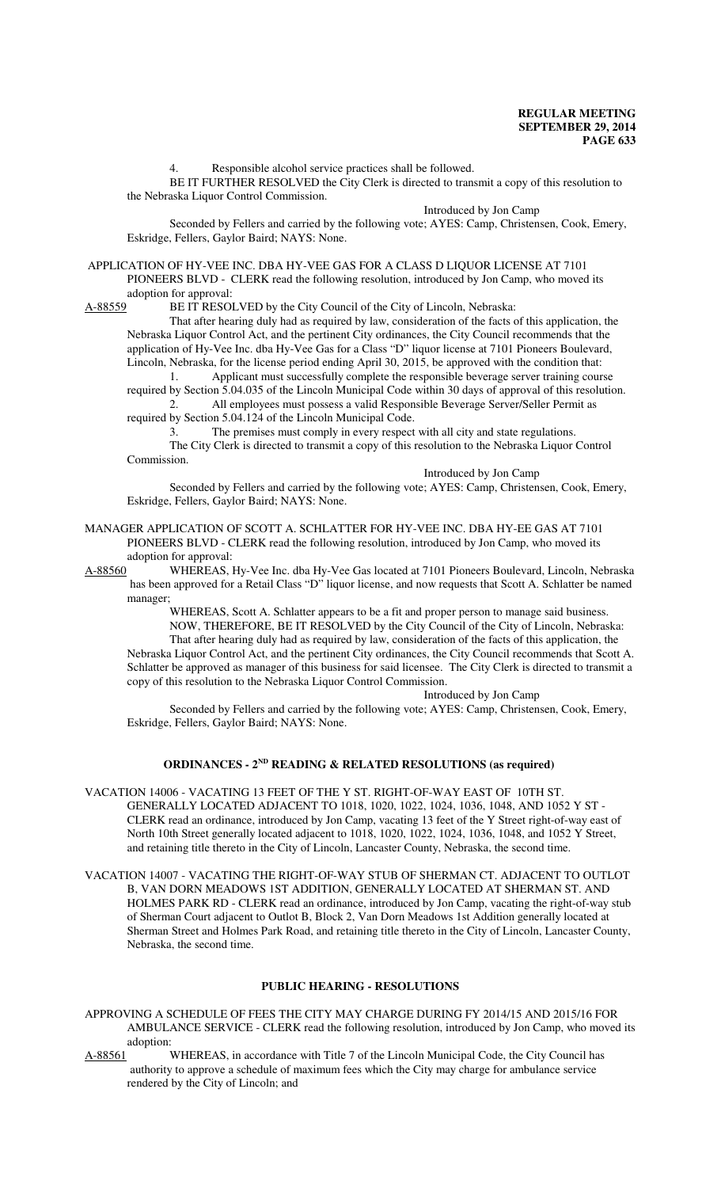4. Responsible alcohol service practices shall be followed.

BE IT FURTHER RESOLVED the City Clerk is directed to transmit a copy of this resolution to the Nebraska Liquor Control Commission.

Introduced by Jon Camp

Seconded by Fellers and carried by the following vote; AYES: Camp, Christensen, Cook, Emery, Eskridge, Fellers, Gaylor Baird; NAYS: None.

# APPLICATION OF HY-VEE INC. DBA HY-VEE GAS FOR A CLASS D LIQUOR LICENSE AT 7101 PIONEERS BLVD - CLERK read the following resolution, introduced by Jon Camp, who moved its adoption for approval:<br>A-88559 BE IT RESOI

BE IT RESOLVED by the City Council of the City of Lincoln, Nebraska:

That after hearing duly had as required by law, consideration of the facts of this application, the Nebraska Liquor Control Act, and the pertinent City ordinances, the City Council recommends that the application of Hy-Vee Inc. dba Hy-Vee Gas for a Class "D" liquor license at 7101 Pioneers Boulevard, Lincoln, Nebraska, for the license period ending April 30, 2015, be approved with the condition that:

1. Applicant must successfully complete the responsible beverage server training course required by Section 5.04.035 of the Lincoln Municipal Code within 30 days of approval of this resolution. 2. All employees must possess a valid Responsible Beverage Server/Seller Permit as required by Section 5.04.124 of the Lincoln Municipal Code.

3. The premises must comply in every respect with all city and state regulations.

The City Clerk is directed to transmit a copy of this resolution to the Nebraska Liquor Control Commission.

Introduced by Jon Camp

Seconded by Fellers and carried by the following vote; AYES: Camp, Christensen, Cook, Emery, Eskridge, Fellers, Gaylor Baird; NAYS: None.

#### MANAGER APPLICATION OF SCOTT A. SCHLATTER FOR HY-VEE INC. DBA HY-EE GAS AT 7101 PIONEERS BLVD - CLERK read the following resolution, introduced by Jon Camp, who moved its adoption for approval:

A-88560 WHEREAS, Hy-Vee Inc. dba Hy-Vee Gas located at 7101 Pioneers Boulevard, Lincoln, Nebraska has been approved for a Retail Class "D" liquor license, and now requests that Scott A. Schlatter be named manager;

> WHEREAS, Scott A. Schlatter appears to be a fit and proper person to manage said business. NOW, THEREFORE, BE IT RESOLVED by the City Council of the City of Lincoln, Nebraska: That after hearing duly had as required by law, consideration of the facts of this application, the

Nebraska Liquor Control Act, and the pertinent City ordinances, the City Council recommends that Scott A. Schlatter be approved as manager of this business for said licensee. The City Clerk is directed to transmit a copy of this resolution to the Nebraska Liquor Control Commission.

#### Introduced by Jon Camp

Seconded by Fellers and carried by the following vote; AYES: Camp, Christensen, Cook, Emery, Eskridge, Fellers, Gaylor Baird; NAYS: None.

# **ORDINANCES - 2ND READING & RELATED RESOLUTIONS (as required)**

VACATION 14006 - VACATING 13 FEET OF THE Y ST. RIGHT-OF-WAY EAST OF 10TH ST. GENERALLY LOCATED ADJACENT TO 1018, 1020, 1022, 1024, 1036, 1048, AND 1052 Y ST - CLERK read an ordinance, introduced by Jon Camp, vacating 13 feet of the Y Street right-of-way east of North 10th Street generally located adjacent to 1018, 1020, 1022, 1024, 1036, 1048, and 1052 Y Street, and retaining title thereto in the City of Lincoln, Lancaster County, Nebraska, the second time.

VACATION 14007 - VACATING THE RIGHT-OF-WAY STUB OF SHERMAN CT. ADJACENT TO OUTLOT B, VAN DORN MEADOWS 1ST ADDITION, GENERALLY LOCATED AT SHERMAN ST. AND HOLMES PARK RD - CLERK read an ordinance, introduced by Jon Camp, vacating the right-of-way stub of Sherman Court adjacent to Outlot B, Block 2, Van Dorn Meadows 1st Addition generally located at Sherman Street and Holmes Park Road, and retaining title thereto in the City of Lincoln, Lancaster County, Nebraska, the second time.

# **PUBLIC HEARING - RESOLUTIONS**

APPROVING A SCHEDULE OF FEES THE CITY MAY CHARGE DURING FY 2014/15 AND 2015/16 FOR AMBULANCE SERVICE - CLERK read the following resolution, introduced by Jon Camp, who moved its adoption:

A-88561 WHEREAS, in accordance with Title 7 of the Lincoln Municipal Code, the City Council has authority to approve a schedule of maximum fees which the City may charge for ambulance service rendered by the City of Lincoln; and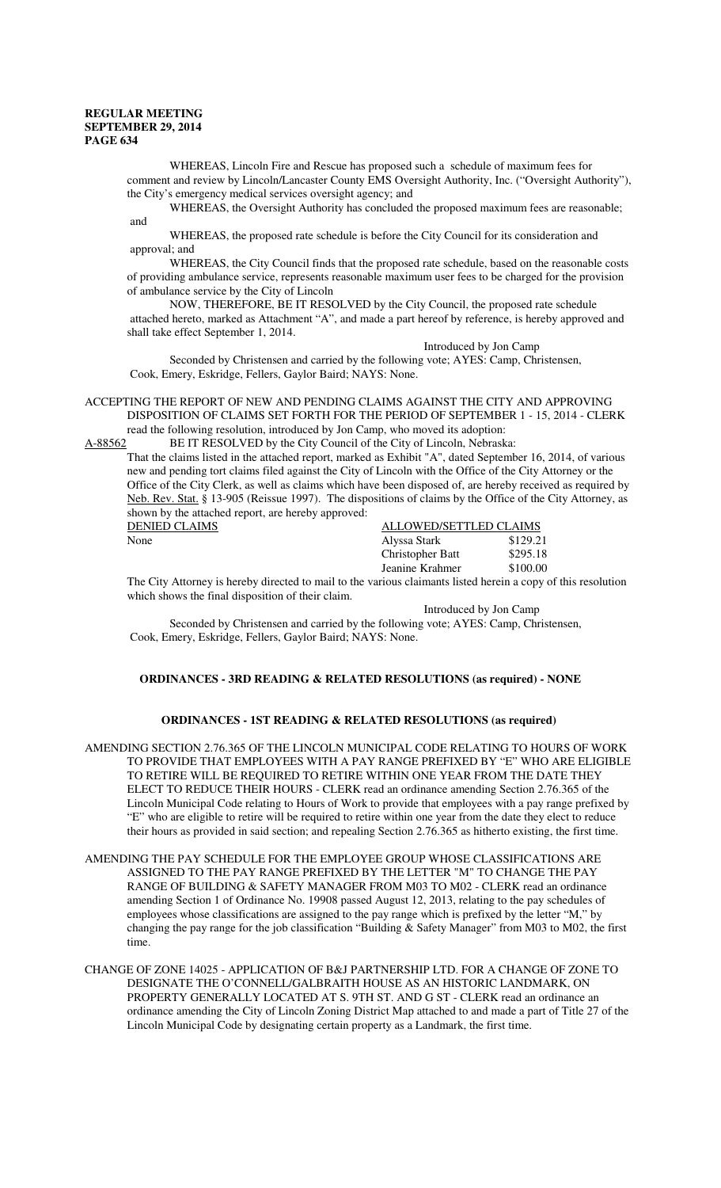WHEREAS, Lincoln Fire and Rescue has proposed such a schedule of maximum fees for comment and review by Lincoln/Lancaster County EMS Oversight Authority, Inc. ("Oversight Authority"), the City's emergency medical services oversight agency; and

WHEREAS, the Oversight Authority has concluded the proposed maximum fees are reasonable; and

WHEREAS, the proposed rate schedule is before the City Council for its consideration and approval; and

WHEREAS, the City Council finds that the proposed rate schedule, based on the reasonable costs of providing ambulance service, represents reasonable maximum user fees to be charged for the provision of ambulance service by the City of Lincoln

NOW, THEREFORE, BE IT RESOLVED by the City Council, the proposed rate schedule attached hereto, marked as Attachment "A", and made a part hereof by reference, is hereby approved and shall take effect September 1, 2014.

Introduced by Jon Camp

Seconded by Christensen and carried by the following vote; AYES: Camp, Christensen, Cook, Emery, Eskridge, Fellers, Gaylor Baird; NAYS: None.

ACCEPTING THE REPORT OF NEW AND PENDING CLAIMS AGAINST THE CITY AND APPROVING DISPOSITION OF CLAIMS SET FORTH FOR THE PERIOD OF SEPTEMBER 1 - 15, 2014 - CLERK read the following resolution, introduced by Jon Camp, who moved its adoption:

A-88562 BE IT RESOLVED by the City Council of the City of Lincoln, Nebraska:

That the claims listed in the attached report, marked as Exhibit "A", dated September 16, 2014, of various new and pending tort claims filed against the City of Lincoln with the Office of the City Attorney or the Office of the City Clerk, as well as claims which have been disposed of, are hereby received as required by Neb. Rev. Stat. § 13-905 (Reissue 1997). The dispositions of claims by the Office of the City Attorney, as shown by the attached report, are hereby approved:

| DENIED CLAIMS | ALLOWED/SETTLED CLAIMS |          |
|---------------|------------------------|----------|
| None          | Alyssa Stark           | \$129.21 |
|               | Christopher Batt       | \$295.18 |
|               | Jeanine Krahmer        | \$100.00 |

The City Attorney is hereby directed to mail to the various claimants listed herein a copy of this resolution which shows the final disposition of their claim.

Introduced by Jon Camp Seconded by Christensen and carried by the following vote; AYES: Camp, Christensen, Cook, Emery, Eskridge, Fellers, Gaylor Baird; NAYS: None.

# **ORDINANCES - 3RD READING & RELATED RESOLUTIONS (as required) - NONE**

# **ORDINANCES - 1ST READING & RELATED RESOLUTIONS (as required)**

AMENDING SECTION 2.76.365 OF THE LINCOLN MUNICIPAL CODE RELATING TO HOURS OF WORK TO PROVIDE THAT EMPLOYEES WITH A PAY RANGE PREFIXED BY "E" WHO ARE ELIGIBLE TO RETIRE WILL BE REQUIRED TO RETIRE WITHIN ONE YEAR FROM THE DATE THEY ELECT TO REDUCE THEIR HOURS - CLERK read an ordinance amending Section 2.76.365 of the Lincoln Municipal Code relating to Hours of Work to provide that employees with a pay range prefixed by "E" who are eligible to retire will be required to retire within one year from the date they elect to reduce their hours as provided in said section; and repealing Section 2.76.365 as hitherto existing, the first time.

AMENDING THE PAY SCHEDULE FOR THE EMPLOYEE GROUP WHOSE CLASSIFICATIONS ARE ASSIGNED TO THE PAY RANGE PREFIXED BY THE LETTER "M" TO CHANGE THE PAY RANGE OF BUILDING & SAFETY MANAGER FROM M03 TO M02 - CLERK read an ordinance amending Section 1 of Ordinance No. 19908 passed August 12, 2013, relating to the pay schedules of employees whose classifications are assigned to the pay range which is prefixed by the letter "M," by changing the pay range for the job classification "Building & Safety Manager" from M03 to M02, the first time.

CHANGE OF ZONE 14025 - APPLICATION OF B&J PARTNERSHIP LTD. FOR A CHANGE OF ZONE TO DESIGNATE THE O'CONNELL/GALBRAITH HOUSE AS AN HISTORIC LANDMARK, ON PROPERTY GENERALLY LOCATED AT S. 9TH ST. AND G ST - CLERK read an ordinance an ordinance amending the City of Lincoln Zoning District Map attached to and made a part of Title 27 of the Lincoln Municipal Code by designating certain property as a Landmark, the first time.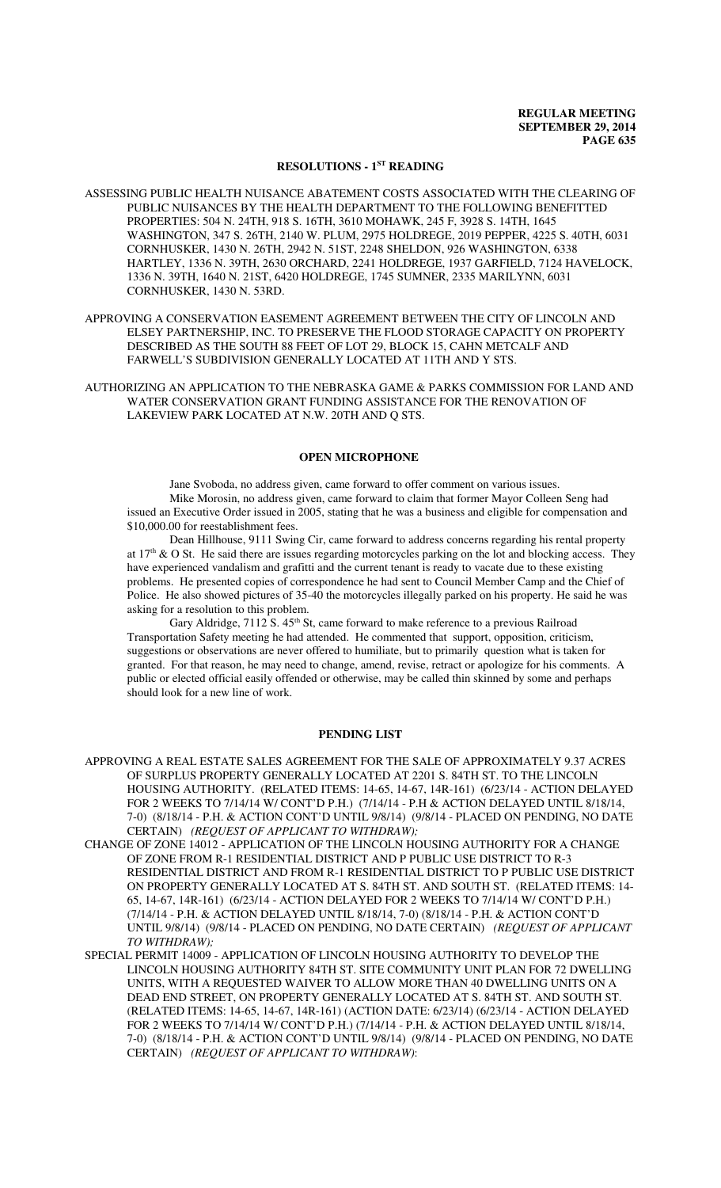#### **RESOLUTIONS - 1ST READING**

ASSESSING PUBLIC HEALTH NUISANCE ABATEMENT COSTS ASSOCIATED WITH THE CLEARING OF PUBLIC NUISANCES BY THE HEALTH DEPARTMENT TO THE FOLLOWING BENEFITTED PROPERTIES: 504 N. 24TH, 918 S. 16TH, 3610 MOHAWK, 245 F, 3928 S. 14TH, 1645 WASHINGTON, 347 S. 26TH, 2140 W. PLUM, 2975 HOLDREGE, 2019 PEPPER, 4225 S. 40TH, 6031 CORNHUSKER, 1430 N. 26TH, 2942 N. 51ST, 2248 SHELDON, 926 WASHINGTON, 6338 HARTLEY, 1336 N. 39TH, 2630 ORCHARD, 2241 HOLDREGE, 1937 GARFIELD, 7124 HAVELOCK, 1336 N. 39TH, 1640 N. 21ST, 6420 HOLDREGE, 1745 SUMNER, 2335 MARILYNN, 6031 CORNHUSKER, 1430 N. 53RD.

APPROVING A CONSERVATION EASEMENT AGREEMENT BETWEEN THE CITY OF LINCOLN AND ELSEY PARTNERSHIP, INC. TO PRESERVE THE FLOOD STORAGE CAPACITY ON PROPERTY DESCRIBED AS THE SOUTH 88 FEET OF LOT 29, BLOCK 15, CAHN METCALF AND FARWELL'S SUBDIVISION GENERALLY LOCATED AT 11TH AND Y STS.

AUTHORIZING AN APPLICATION TO THE NEBRASKA GAME & PARKS COMMISSION FOR LAND AND WATER CONSERVATION GRANT FUNDING ASSISTANCE FOR THE RENOVATION OF LAKEVIEW PARK LOCATED AT N.W. 20TH AND Q STS.

### **OPEN MICROPHONE**

Jane Svoboda, no address given, came forward to offer comment on various issues. Mike Morosin, no address given, came forward to claim that former Mayor Colleen Seng had issued an Executive Order issued in 2005, stating that he was a business and eligible for compensation and \$10,000.00 for reestablishment fees.

Dean Hillhouse, 9111 Swing Cir, came forward to address concerns regarding his rental property at  $17<sup>th</sup>$  & O St. He said there are issues regarding motorcycles parking on the lot and blocking access. They have experienced vandalism and grafitti and the current tenant is ready to vacate due to these existing problems. He presented copies of correspondence he had sent to Council Member Camp and the Chief of Police. He also showed pictures of 35-40 the motorcycles illegally parked on his property. He said he was asking for a resolution to this problem.

Gary Aldridge, 7112 S. 45<sup>th</sup> St, came forward to make reference to a previous Railroad Transportation Safety meeting he had attended. He commented that support, opposition, criticism, suggestions or observations are never offered to humiliate, but to primarily question what is taken for granted. For that reason, he may need to change, amend, revise, retract or apologize for his comments. A public or elected official easily offended or otherwise, may be called thin skinned by some and perhaps should look for a new line of work.

#### **PENDING LIST**

- APPROVING A REAL ESTATE SALES AGREEMENT FOR THE SALE OF APPROXIMATELY 9.37 ACRES OF SURPLUS PROPERTY GENERALLY LOCATED AT 2201 S. 84TH ST. TO THE LINCOLN HOUSING AUTHORITY. (RELATED ITEMS: 14-65, 14-67, 14R-161) (6/23/14 - ACTION DELAYED FOR 2 WEEKS TO 7/14/14 W/ CONT'D P.H.) (7/14/14 - P.H & ACTION DELAYED UNTIL 8/18/14, 7-0) (8/18/14 - P.H. & ACTION CONT'D UNTIL 9/8/14) (9/8/14 - PLACED ON PENDING, NO DATE CERTAIN) *(REQUEST OF APPLICANT TO WITHDRAW);*
- CHANGE OF ZONE 14012 APPLICATION OF THE LINCOLN HOUSING AUTHORITY FOR A CHANGE OF ZONE FROM R-1 RESIDENTIAL DISTRICT AND P PUBLIC USE DISTRICT TO R-3 RESIDENTIAL DISTRICT AND FROM R-1 RESIDENTIAL DISTRICT TO P PUBLIC USE DISTRICT ON PROPERTY GENERALLY LOCATED AT S. 84TH ST. AND SOUTH ST. (RELATED ITEMS: 14- 65, 14-67, 14R-161) (6/23/14 - ACTION DELAYED FOR 2 WEEKS TO 7/14/14 W/ CONT'D P.H.) (7/14/14 - P.H. & ACTION DELAYED UNTIL 8/18/14, 7-0) (8/18/14 - P.H. & ACTION CONT'D UNTIL 9/8/14) (9/8/14 - PLACED ON PENDING, NO DATE CERTAIN) *(REQUEST OF APPLICANT TO WITHDRAW);*
- SPECIAL PERMIT 14009 APPLICATION OF LINCOLN HOUSING AUTHORITY TO DEVELOP THE LINCOLN HOUSING AUTHORITY 84TH ST. SITE COMMUNITY UNIT PLAN FOR 72 DWELLING UNITS, WITH A REQUESTED WAIVER TO ALLOW MORE THAN 40 DWELLING UNITS ON A DEAD END STREET, ON PROPERTY GENERALLY LOCATED AT S. 84TH ST. AND SOUTH ST. (RELATED ITEMS: 14-65, 14-67, 14R-161) (ACTION DATE: 6/23/14) (6/23/14 - ACTION DELAYED FOR 2 WEEKS TO 7/14/14 W/ CONT'D P.H.) (7/14/14 - P.H. & ACTION DELAYED UNTIL 8/18/14, 7-0) (8/18/14 - P.H. & ACTION CONT'D UNTIL 9/8/14) (9/8/14 - PLACED ON PENDING, NO DATE CERTAIN) *(REQUEST OF APPLICANT TO WITHDRAW)*: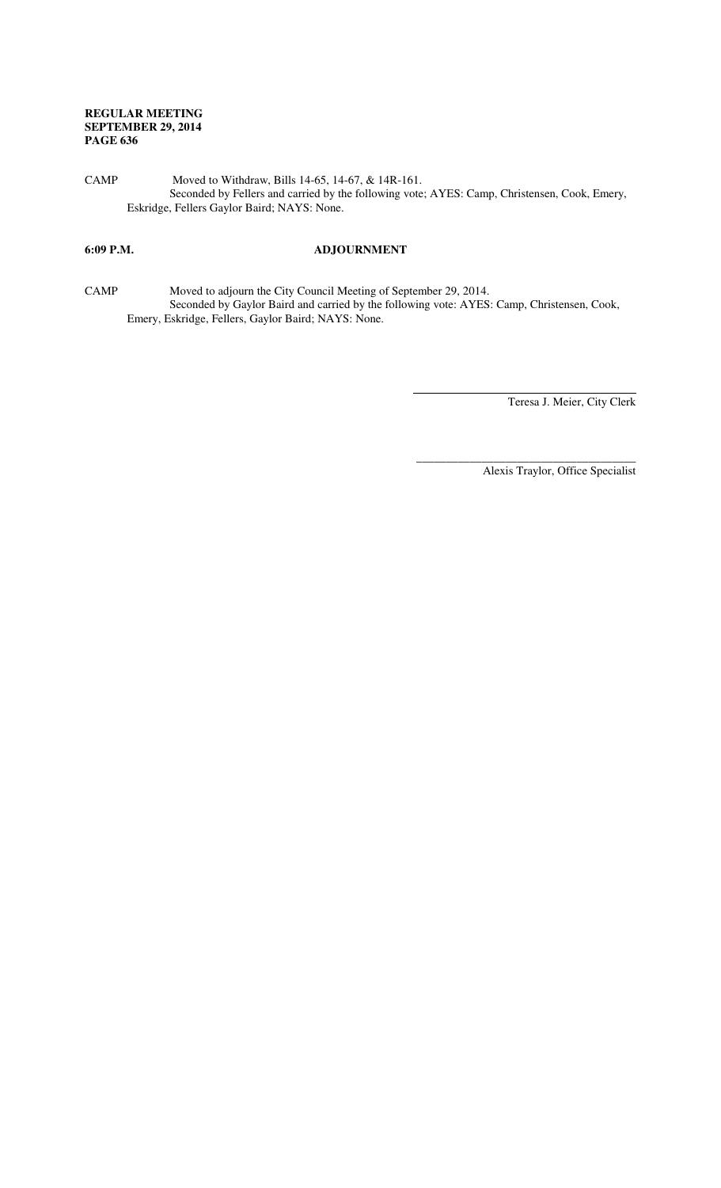CAMP Moved to Withdraw, Bills 14-65, 14-67, & 14R-161. Seconded by Fellers and carried by the following vote; AYES: Camp, Christensen, Cook, Emery, Eskridge, Fellers Gaylor Baird; NAYS: None.

# **6:09 P.M. ADJOURNMENT**

CAMP Moved to adjourn the City Council Meeting of September 29, 2014. Seconded by Gaylor Baird and carried by the following vote: AYES: Camp, Christensen, Cook, Emery, Eskridge, Fellers, Gaylor Baird; NAYS: None.

l

Teresa J. Meier, City Clerk

Alexis Traylor, Office Specialist

\_\_\_\_\_\_\_\_\_\_\_\_\_\_\_\_\_\_\_\_\_\_\_\_\_\_\_\_\_\_\_\_\_\_\_\_\_